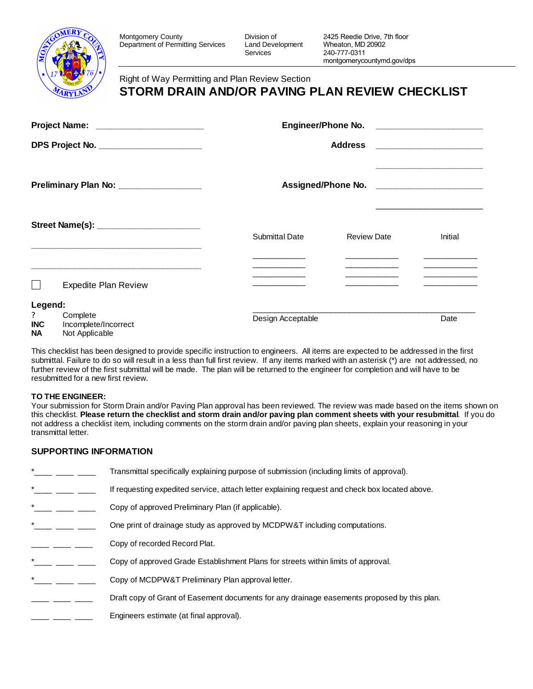

Montgomery County<br>
Department of Permitting Services Land Development Department of Permitting Services

Services

# **STORM DRAIN AND/OR PAVING PLAN REVIEW CHECKLIST** Right of Way Permitting and Plan Review Section

| Project Name: ________________________                         | <b>Engineer/Phone No.</b>                                                 |                                                                                                                                                                                                                                                  |
|----------------------------------------------------------------|---------------------------------------------------------------------------|--------------------------------------------------------------------------------------------------------------------------------------------------------------------------------------------------------------------------------------------------|
| DPS Project No. ______________________                         | <b>Address</b>                                                            | <u> 1980 - Jan Samuel Barbara, martin a</u>                                                                                                                                                                                                      |
| Preliminary Plan No: __________________                        |                                                                           |                                                                                                                                                                                                                                                  |
| Street Name(s): ________________________                       | Submittal Date<br><b>Review Date</b><br>the control of the control of the | Initial                                                                                                                                                                                                                                          |
| <b>Expedite Plan Review</b>                                    |                                                                           | <u> Alexandria de la contenta de la contenta de la contenta de la contenta de la contenta de la contenta de la con</u><br><u> 1990 - John Stein, mars and de la partie de la partie de la partie de la partie de la partie de la partie de l</u> |
| Legend:<br>?<br>Complete<br><b>INC</b><br>Incomplete/Incorrect | Design Acceptable                                                         | Date                                                                                                                                                                                                                                             |

**NA** Not Applicable

This checklist has been designed to provide specific instruction to engineers. All items are expected to be addressed in the first submittal. Failure to do so will result in a less than full first review. If any items marked with an asterisk (\*) are not addressed, no further review of the first submittal will be made. The plan will be returned to the engineer for completion and will have to be resubmitted for a new first review.

#### **TO THE ENGINEER:**

Your submission for Storm Drain and/or Paving Plan approval has been reviewed. The review was made based on the items shown on this checklist. **Please return the checklist and storm drain and/or paving plan comment sheets with your resubmittal**. If you do not address a checklist item, including comments on the storm drain and/or paving plan sheets, explain your reasoning in your transmittal letter.

### **SUPPORTING INFORMATION**

| $^\star$ | Transmittal specifically explaining purpose of submission (including limits of approval).      |
|----------|------------------------------------------------------------------------------------------------|
| $^\star$ | If requesting expedited service, attach letter explaining request and check box located above. |
| $^\star$ | Copy of approved Preliminary Plan (if applicable).                                             |
| $^\star$ | One print of drainage study as approved by MCDPW&T including computations.                     |
|          | Copy of recorded Record Plat.                                                                  |
| $^\star$ | Copy of approved Grade Establishment Plans for streets within limits of approval.              |
| $^\star$ | Copy of MCDPW&T Preliminary Plan approval letter.                                              |
|          | Draft copy of Grant of Easement documents for any drainage easements proposed by this plan.    |
|          | Engineers estimate (at final approval).                                                        |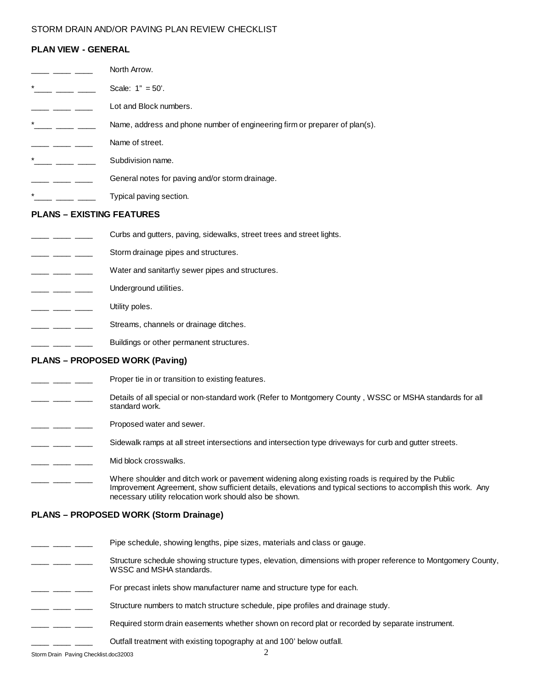### STORM DRAIN AND/OR PAVING PLAN REVIEW CHECKLIST

# **PLAN VIEW - GENERAL**

|                                                                                                                                                                                                                                                                                                                                                                                                                       | <b>PLAN VICW - GENERAL</b>                                                                                                                                                                                                                                                   |
|-----------------------------------------------------------------------------------------------------------------------------------------------------------------------------------------------------------------------------------------------------------------------------------------------------------------------------------------------------------------------------------------------------------------------|------------------------------------------------------------------------------------------------------------------------------------------------------------------------------------------------------------------------------------------------------------------------------|
|                                                                                                                                                                                                                                                                                                                                                                                                                       | North Arrow.                                                                                                                                                                                                                                                                 |
| *______ ______ ______                                                                                                                                                                                                                                                                                                                                                                                                 | Scale: $1" = 50'.$                                                                                                                                                                                                                                                           |
|                                                                                                                                                                                                                                                                                                                                                                                                                       | Lot and Block numbers.                                                                                                                                                                                                                                                       |
|                                                                                                                                                                                                                                                                                                                                                                                                                       | Name, address and phone number of engineering firm or preparer of plan(s).                                                                                                                                                                                                   |
| ___ ____ ___                                                                                                                                                                                                                                                                                                                                                                                                          | Name of street.                                                                                                                                                                                                                                                              |
| *______ ______ _____                                                                                                                                                                                                                                                                                                                                                                                                  | Subdivision name.                                                                                                                                                                                                                                                            |
| $\frac{1}{1-\frac{1}{1-\frac{1}{1-\frac{1}{1-\frac{1}{1-\frac{1}{1-\frac{1}{1-\frac{1}{1-\frac{1}{1-\frac{1}{1-\frac{1}{1-\frac{1}{1-\frac{1}{1-\frac{1}{1-\frac{1}{1-\frac{1}{1-\frac{1}{1-\frac{1}{1-\frac{1}{1-\frac{1}{1-\frac{1}{1-\frac{1}{1-\frac{1}{1-\frac{1}{1-\frac{1}{1-\frac{1}{1-\frac{1}{1-\frac{1}{1-\frac{1}{1-\frac{1}{1-\frac{1}{1-\frac{1}{1-\frac{1}{1-\frac{1}{1-\frac{1}{1-\frac{1}{1-\frac{1$ | General notes for paving and/or storm drainage.                                                                                                                                                                                                                              |
|                                                                                                                                                                                                                                                                                                                                                                                                                       | Typical paving section.                                                                                                                                                                                                                                                      |
|                                                                                                                                                                                                                                                                                                                                                                                                                       | <b>PLANS - EXISTING FEATURES</b>                                                                                                                                                                                                                                             |
|                                                                                                                                                                                                                                                                                                                                                                                                                       | Curbs and gutters, paving, sidewalks, street trees and street lights.                                                                                                                                                                                                        |
|                                                                                                                                                                                                                                                                                                                                                                                                                       | Storm drainage pipes and structures.                                                                                                                                                                                                                                         |
| $\frac{1}{1-\frac{1}{1-\frac{1}{1-\frac{1}{1-\frac{1}{1-\frac{1}{1-\frac{1}{1-\frac{1}{1-\frac{1}{1-\frac{1}{1-\frac{1}{1-\frac{1}{1-\frac{1}{1-\frac{1}{1-\frac{1}{1-\frac{1}{1-\frac{1}{1-\frac{1}{1-\frac{1}{1-\frac{1}{1-\frac{1}{1-\frac{1}{1-\frac{1}{1-\frac{1}{1-\frac{1}{1-\frac{1}{1-\frac{1}{1-\frac{1}{1-\frac{1}{1-\frac{1}{1-\frac{1}{1-\frac{1}{1-\frac{1}{1-\frac{1}{1-\frac{1}{1-\frac{1}{1-\frac{1$ | Water and sanitart\y sewer pipes and structures.                                                                                                                                                                                                                             |
| $\frac{1}{1-\frac{1}{1-\frac{1}{1-\frac{1}{1-\frac{1}{1-\frac{1}{1-\frac{1}{1-\frac{1}{1-\frac{1}{1-\frac{1}{1-\frac{1}{1-\frac{1}{1-\frac{1}{1-\frac{1}{1-\frac{1}{1-\frac{1}{1-\frac{1}{1-\frac{1}{1-\frac{1}{1-\frac{1}{1-\frac{1}{1-\frac{1}{1-\frac{1}{1-\frac{1}{1-\frac{1}{1-\frac{1}{1-\frac{1}{1-\frac{1}{1-\frac{1}{1-\frac{1}{1-\frac{1}{1-\frac{1}{1-\frac{1}{1-\frac{1}{1-\frac{1}{1-\frac{1}{1-\frac{1$ | Underground utilities.                                                                                                                                                                                                                                                       |
|                                                                                                                                                                                                                                                                                                                                                                                                                       | Utility poles.                                                                                                                                                                                                                                                               |
|                                                                                                                                                                                                                                                                                                                                                                                                                       | Streams, channels or drainage ditches.                                                                                                                                                                                                                                       |
|                                                                                                                                                                                                                                                                                                                                                                                                                       | Buildings or other permanent structures.                                                                                                                                                                                                                                     |
|                                                                                                                                                                                                                                                                                                                                                                                                                       | <b>PLANS - PROPOSED WORK (Paving)</b>                                                                                                                                                                                                                                        |
|                                                                                                                                                                                                                                                                                                                                                                                                                       | Proper tie in or transition to existing features.                                                                                                                                                                                                                            |
| — — — —                                                                                                                                                                                                                                                                                                                                                                                                               | Details of all special or non-standard work (Refer to Montgomery County, WSSC or MSHA standards for all<br>standard work.                                                                                                                                                    |
|                                                                                                                                                                                                                                                                                                                                                                                                                       | Proposed water and sewer.                                                                                                                                                                                                                                                    |
|                                                                                                                                                                                                                                                                                                                                                                                                                       | Sidewalk ramps at all street intersections and intersection type driveways for curb and gutter streets.                                                                                                                                                                      |
|                                                                                                                                                                                                                                                                                                                                                                                                                       | Mid block crosswalks.                                                                                                                                                                                                                                                        |
|                                                                                                                                                                                                                                                                                                                                                                                                                       | Where shoulder and ditch work or pavement widening along existing roads is required by the Public<br>Improvement Agreement, show sufficient details, elevations and typical sections to accomplish this work. Any<br>necessary utility relocation work should also be shown. |
|                                                                                                                                                                                                                                                                                                                                                                                                                       | <b>PLANS - PROPOSED WORK (Storm Drainage)</b>                                                                                                                                                                                                                                |
|                                                                                                                                                                                                                                                                                                                                                                                                                       | Pipe schedule, showing lengths, pipe sizes, materials and class or gauge.                                                                                                                                                                                                    |
|                                                                                                                                                                                                                                                                                                                                                                                                                       | Structure schedule showing structure types, elevation, dimensions with proper reference to Montgomery County,<br>WSSC and MSHA standards.                                                                                                                                    |

- \_ \_\_\_\_ \_\_\_\_ For precast inlets show manufacturer name and structure type for each.
- \_ \_\_\_\_ \_\_\_\_ Structure numbers to match structure schedule, pipe profiles and drainage study.
- **Face 20** Required storm drain easements whether shown on record plat or recorded by separate instrument.
	- **\_** \_\_\_\_ Outfall treatment with existing topography at and 100' below outfall.

Storm Drain Paving Checklist.doc32003 2